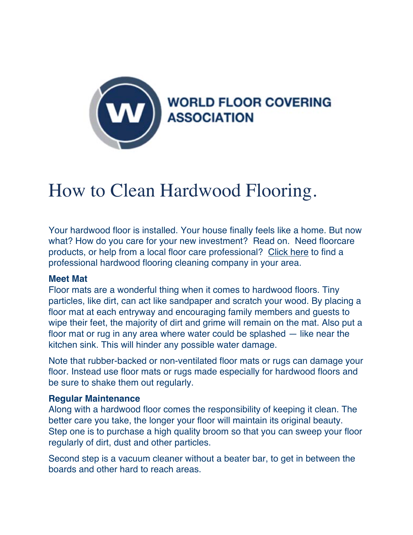

# How to Clean Hardwood Flooring.

Your hardwood floor is installed. Your house finally feels like a home. But now what? How do you care for your new investment? Read on. Need floorcare products, or help from a local floor care professional? Click here to find a professional hardwood flooring cleaning company in your area.

## **Meet Mat**

Floor mats are a wonderful thing when it comes to hardwood floors. Tiny particles, like dirt, can act like sandpaper and scratch your wood. By placing a floor mat at each entryway and encouraging family members and guests to wipe their feet, the majority of dirt and grime will remain on the mat. Also put a floor mat or rug in any area where water could be splashed — like near the kitchen sink. This will hinder any possible water damage.

Note that rubber-backed or non-ventilated floor mats or rugs can damage your floor. Instead use floor mats or rugs made especially for hardwood floors and be sure to shake them out regularly.

## **Regular Maintenance**

Along with a hardwood floor comes the responsibility of keeping it clean. The better care you take, the longer your floor will maintain its original beauty. Step one is to purchase a high quality broom so that you can sweep your floor regularly of dirt, dust and other particles.

Second step is a vacuum cleaner without a beater bar, to get in between the boards and other hard to reach areas.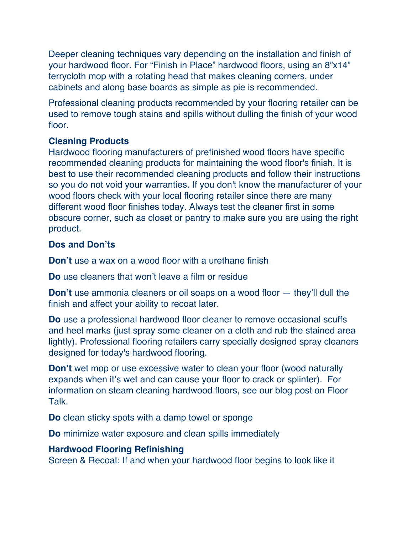Deeper cleaning techniques vary depending on the installation and finish of your hardwood floor. For "Finish in Place" hardwood floors, using an 8"x14" terrycloth mop with a rotating head that makes cleaning corners, under cabinets and along base boards as simple as pie is recommended.

Professional cleaning products recommended by your flooring retailer can be used to remove tough stains and spills without dulling the finish of your wood floor

## **Cleaning Products**

Hardwood flooring manufacturers of prefinished wood floors have specific recommended cleaning products for maintaining the wood floor's finish. It is best to use their recommended cleaning products and follow their instructions so you do not void your warranties. If you don't know the manufacturer of your wood floors check with your local flooring retailer since there are many different wood floor finishes today. Always test the cleaner first in some obscure corner, such as closet or pantry to make sure you are using the right product.

# **Dos and Don'ts**

**Don't** use a wax on a wood floor with a urethane finish

**Do** use cleaners that won't leave a film or residue

**Don't** use ammonia cleaners or oil soaps on a wood floor — they'll dull the finish and affect your ability to recoat later.

**Do** use a professional hardwood floor cleaner to remove occasional scuffs and heel marks (just spray some cleaner on a cloth and rub the stained area lightly). Professional flooring retailers carry specially designed spray cleaners designed for today's hardwood flooring.

**Don't** wet mop or use excessive water to clean your floor (wood naturally expands when it's wet and can cause your floor to crack or splinter). For information on steam cleaning hardwood floors, see our blog post on Floor Talk.

**Do** clean sticky spots with a damp towel or sponge

**Do** minimize water exposure and clean spills immediately

# **Hardwood Flooring Refinishing**

Screen & Recoat: If and when your hardwood floor begins to look like it